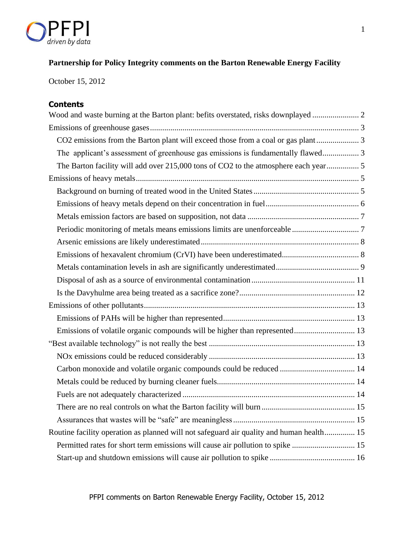

# **Partnership for Policy Integrity comments on the Barton Renewable Energy Facility**

October 15, 2012

# **Contents**

| The applicant's assessment of greenhouse gas emissions is fundamentally flawed 3         |  |
|------------------------------------------------------------------------------------------|--|
| The Barton facility will add over 215,000 tons of CO2 to the atmosphere each year 5      |  |
|                                                                                          |  |
|                                                                                          |  |
|                                                                                          |  |
|                                                                                          |  |
|                                                                                          |  |
|                                                                                          |  |
|                                                                                          |  |
|                                                                                          |  |
|                                                                                          |  |
|                                                                                          |  |
|                                                                                          |  |
|                                                                                          |  |
| Emissions of volatile organic compounds will be higher than represented 13               |  |
|                                                                                          |  |
|                                                                                          |  |
| Carbon monoxide and volatile organic compounds could be reduced  14                      |  |
|                                                                                          |  |
|                                                                                          |  |
|                                                                                          |  |
|                                                                                          |  |
| Routine facility operation as planned will not safeguard air quality and human health 15 |  |
| Permitted rates for short term emissions will cause air pollution to spike  15           |  |
|                                                                                          |  |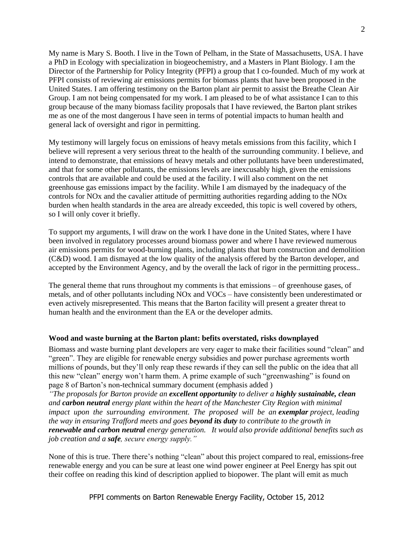My name is Mary S. Booth. I live in the Town of Pelham, in the State of Massachusetts, USA. I have a PhD in Ecology with specialization in biogeochemistry, and a Masters in Plant Biology. I am the Director of the Partnership for Policy Integrity (PFPI) a group that I co-founded. Much of my work at PFPI consists of reviewing air emissions permits for biomass plants that have been proposed in the United States. I am offering testimony on the Barton plant air permit to assist the Breathe Clean Air Group. I am not being compensated for my work. I am pleased to be of what assistance I can to this group because of the many biomass facility proposals that I have reviewed, the Barton plant strikes me as one of the most dangerous I have seen in terms of potential impacts to human health and general lack of oversight and rigor in permitting.

My testimony will largely focus on emissions of heavy metals emissions from this facility, which I believe will represent a very serious threat to the health of the surrounding community. I believe, and intend to demonstrate, that emissions of heavy metals and other pollutants have been underestimated, and that for some other pollutants, the emissions levels are inexcusably high, given the emissions controls that are available and could be used at the facility. I will also comment on the net greenhouse gas emissions impact by the facility. While I am dismayed by the inadequacy of the controls for NOx and the cavalier attitude of permitting authorities regarding adding to the NOx burden when health standards in the area are already exceeded, this topic is well covered by others, so I will only cover it briefly.

To support my arguments, I will draw on the work I have done in the United States, where I have been involved in regulatory processes around biomass power and where I have reviewed numerous air emissions permits for wood-burning plants, including plants that burn construction and demolition (C&D) wood. I am dismayed at the low quality of the analysis offered by the Barton developer, and accepted by the Environment Agency, and by the overall the lack of rigor in the permitting process..

The general theme that runs throughout my comments is that emissions – of greenhouse gases, of metals, and of other pollutants including NOx and VOCs – have consistently been underestimated or even actively misrepresented. This means that the Barton facility will present a greater threat to human health and the environment than the EA or the developer admits.

## <span id="page-1-0"></span>**Wood and waste burning at the Barton plant: befits overstated, risks downplayed**

Biomass and waste burning plant developers are very eager to make their facilities sound "clean" and "green". They are eligible for renewable energy subsidies and power purchase agreements worth millions of pounds, but they'll only reap these rewards if they can sell the public on the idea that all this new "clean" energy won't harm them. A prime example of such "greenwashing" is found on page 8 of Barton's non-technical summary document (emphasis added )

*"The proposals for Barton provide an excellent opportunity to deliver a highly sustainable, clean and carbon neutral energy plant within the heart of the Manchester City Region with minimal impact upon the surrounding environment. The proposed will be an exemplar project, leading the way in ensuring Trafford meets and goes beyond its duty to contribute to the growth in renewable and carbon neutral energy generation. It would also provide additional benefits such as job creation and a safe, secure energy supply."*

None of this is true. There there's nothing "clean" about this project compared to real, emissions-free renewable energy and you can be sure at least one wind power engineer at Peel Energy has spit out their coffee on reading this kind of description applied to biopower. The plant will emit as much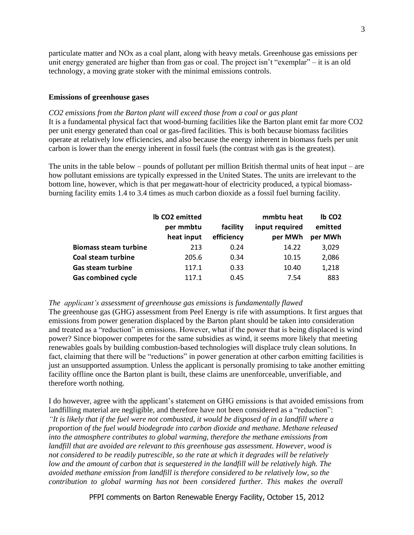particulate matter and NOx as a coal plant, along with heavy metals. Greenhouse gas emissions per unit energy generated are higher than from gas or coal. The project isn't "exemplar" – it is an old technology, a moving grate stoker with the minimal emissions controls.

## <span id="page-2-0"></span>**Emissions of greenhouse gases**

<span id="page-2-1"></span>*CO2 emissions from the Barton plant will exceed those from a coal or gas plant* It is a fundamental physical fact that wood-burning facilities like the Barton plant emit far more CO2 per unit energy generated than coal or gas-fired facilities. This is both because biomass facilities operate at relatively low efficiencies, and also because the energy inherent in biomass fuels per unit carbon is lower than the energy inherent in fossil fuels (the contrast with gas is the greatest).

The units in the table below – pounds of pollutant per million British thermal units of heat input – are how pollutant emissions are typically expressed in the United States. The units are irrelevant to the bottom line, however, which is that per megawatt-hour of electricity produced, a typical biomassburning facility emits 1.4 to 3.4 times as much carbon dioxide as a fossil fuel burning facility.

|                              | Ib CO2 emitted |            | mmbtu heat     | lb CO <sub>2</sub> |
|------------------------------|----------------|------------|----------------|--------------------|
|                              | per mmbtu      | facility   | input required | emitted            |
|                              | heat input     | efficiency | per MWh        | per MWh            |
| <b>Biomass steam turbine</b> | 213            | 0.24       | 14.22          | 3,029              |
| Coal steam turbine           | 205.6          | 0.34       | 10.15          | 2,086              |
| <b>Gas steam turbine</b>     | 117.1          | 0.33       | 10.40          | 1,218              |
| <b>Gas combined cycle</b>    | 117.1          | 0.45       | 7.54           | 883                |

## <span id="page-2-2"></span>*The applicant's assessment of greenhouse gas emissions is fundamentally flawed*

The greenhouse gas (GHG) assessment from Peel Energy is rife with assumptions. It first argues that emissions from power generation displaced by the Barton plant should be taken into consideration and treated as a "reduction" in emissions. However, what if the power that is being displaced is wind power? Since biopower competes for the same subsidies as wind, it seems more likely that meeting renewables goals by building combustion-based technologies will displace truly clean solutions. In fact, claiming that there will be "reductions" in power generation at other carbon emitting facilities is just an unsupported assumption. Unless the applicant is personally promising to take another emitting facility offline once the Barton plant is built, these claims are unenforceable, unverifiable, and therefore worth nothing.

I do however, agree with the applicant's statement on GHG emissions is that avoided emissions from landfilling material are negligible, and therefore have not been considered as a "reduction": *"It is likely that if the fuel were not combusted, it would be disposed of in a landfill where a proportion of the fuel would biodegrade into carbon dioxide and methane. Methane released into the atmosphere contributes to global warming, therefore the methane emissions from landfill that are avoided are relevant to this greenhouse gas assessment. However, wood is not considered to be readily putrescible, so the rate at which it degrades will be relatively*  low and the amount of carbon that is sequestered in the landfill will be relatively high. The *avoided methane emission from landfill is therefore considered to be relatively low, so the contribution to global warming has not been considered further. This makes the overall* 

PFPI comments on Barton Renewable Energy Facility, October 15, 2012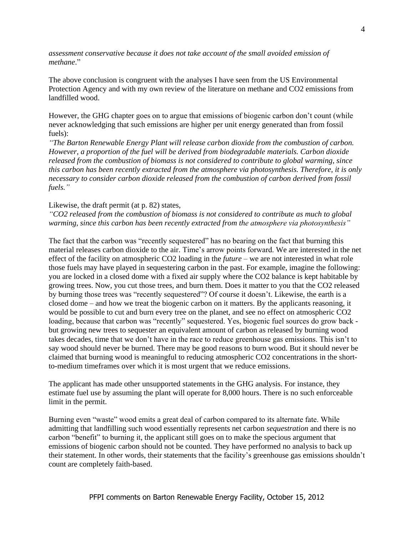*assessment conservative because it does not take account of the small avoided emission of methane*."

The above conclusion is congruent with the analyses I have seen from the US Environmental Protection Agency and with my own review of the literature on methane and CO2 emissions from landfilled wood.

However, the GHG chapter goes on to argue that emissions of biogenic carbon don't count (while never acknowledging that such emissions are higher per unit energy generated than from fossil fuels):

*"The Barton Renewable Energy Plant will release carbon dioxide from the combustion of carbon. However, a proportion of the fuel will be derived from biodegradable materials. Carbon dioxide released from the combustion of biomass is not considered to contribute to global warming, since this carbon has been recently extracted from the atmosphere via photosynthesis. Therefore, it is only necessary to consider carbon dioxide released from the combustion of carbon derived from fossil fuels."*

## Likewise, the draft permit (at p. 82) states,

*"CO2 released from the combustion of biomass is not considered to contribute as much to global warming, since this carbon has been recently extracted from the atmosphere via photosynthesis"*

The fact that the carbon was "recently sequestered" has no bearing on the fact that burning this material releases carbon dioxide to the air. Time's arrow points forward. We are interested in the net effect of the facility on atmospheric CO2 loading in the *future* – we are not interested in what role those fuels may have played in sequestering carbon in the past. For example, imagine the following: you are locked in a closed dome with a fixed air supply where the CO2 balance is kept habitable by growing trees. Now, you cut those trees, and burn them. Does it matter to you that the CO2 released by burning those trees was "recently sequestered"? Of course it doesn't. Likewise, the earth is a closed dome – and how we treat the biogenic carbon on it matters. By the applicants reasoning, it would be possible to cut and burn every tree on the planet, and see no effect on atmospheric CO2 loading, because that carbon was "recently" sequestered. Yes, biogenic fuel sources do grow back but growing new trees to sequester an equivalent amount of carbon as released by burning wood takes decades, time that we don't have in the race to reduce greenhouse gas emissions. This isn't to say wood should never be burned. There may be good reasons to burn wood. But it should never be claimed that burning wood is meaningful to reducing atmospheric CO2 concentrations in the shortto-medium timeframes over which it is most urgent that we reduce emissions.

The applicant has made other unsupported statements in the GHG analysis. For instance, they estimate fuel use by assuming the plant will operate for 8,000 hours. There is no such enforceable limit in the permit.

Burning even "waste" wood emits a great deal of carbon compared to its alternate fate. While admitting that landfilling such wood essentially represents net carbon *sequestration* and there is no carbon "benefit" to burning it, the applicant still goes on to make the specious argument that emissions of biogenic carbon should not be counted. They have performed no analysis to back up their statement. In other words, their statements that the facility's greenhouse gas emissions shouldn't count are completely faith-based.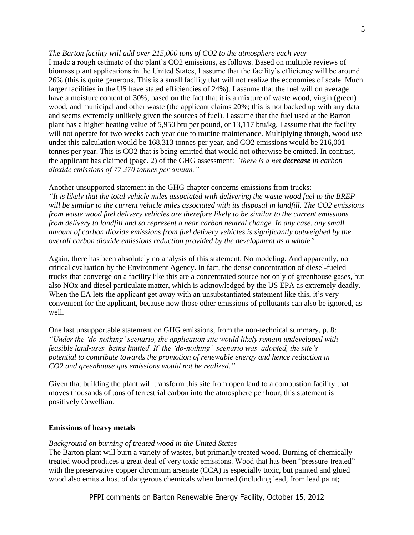### <span id="page-4-0"></span>*The Barton facility will add over 215,000 tons of CO2 to the atmosphere each year*

I made a rough estimate of the plant's CO2 emissions, as follows. Based on multiple reviews of biomass plant applications in the United States, I assume that the facility's efficiency will be around 26% (this is quite generous. This is a small facility that will not realize the economies of scale. Much larger facilities in the US have stated efficiencies of 24%). I assume that the fuel will on average have a moisture content of 30%, based on the fact that it is a mixture of waste wood, virgin (green) wood, and municipal and other waste (the applicant claims 20%; this is not backed up with any data and seems extremely unlikely given the sources of fuel). I assume that the fuel used at the Barton plant has a higher heating value of 5,950 btu per pound, or 13,117 btu/kg. I assume that the facility will not operate for two weeks each year due to routine maintenance. Multiplying through, wood use under this calculation would be 168,313 tonnes per year, and CO2 emissions would be 216,001 tonnes per year. This is CO2 that is being emitted that would not otherwise be emitted. In contrast, the applicant has claimed (page. 2) of the GHG assessment: *"there is a net decrease in carbon dioxide emissions of 77,370 tonnes per annum."*

Another unsupported statement in the GHG chapter concerns emissions from trucks: *"It is likely that the total vehicle miles associated with delivering the waste wood fuel to the BREP will be similar to the current vehicle miles associated with its disposal in landfill. The CO2 emissions from waste wood fuel delivery vehicles are therefore likely to be similar to the current emissions from delivery to landfill and so represent a near carbon neutral change. In any case, any small amount of carbon dioxide emissions from fuel delivery vehicles is significantly outweighed by the overall carbon dioxide emissions reduction provided by the development as a whole"*

Again, there has been absolutely no analysis of this statement. No modeling. And apparently, no critical evaluation by the Environment Agency. In fact, the dense concentration of diesel-fueled trucks that converge on a facility like this are a concentrated source not only of greenhouse gases, but also NOx and diesel particulate matter, which is acknowledged by the US EPA as extremely deadly. When the EA lets the applicant get away with an unsubstantiated statement like this, it's very convenient for the applicant, because now those other emissions of pollutants can also be ignored, as well.

One last unsupportable statement on GHG emissions, from the non-technical summary, p. 8: *"Under the 'do-nothing' scenario, the application site would likely remain undeveloped with feasible land-uses being limited. If the 'do-nothing' scenario was adopted, the site's potential to contribute towards the promotion of renewable energy and hence reduction in CO2 and greenhouse gas emissions would not be realized."*

Given that building the plant will transform this site from open land to a combustion facility that moves thousands of tons of terrestrial carbon into the atmosphere per hour, this statement is positively Orwellian.

## <span id="page-4-1"></span>**Emissions of heavy metals**

#### <span id="page-4-2"></span>*Background on burning of treated wood in the United States*

The Barton plant will burn a variety of wastes, but primarily treated wood. Burning of chemically treated wood produces a great deal of very toxic emissions. Wood that has been "pressure-treated" with the preservative copper chromium arsenate (CCA) is especially toxic, but painted and glued wood also emits a host of dangerous chemicals when burned (including lead, from lead paint;

PFPI comments on Barton Renewable Energy Facility, October 15, 2012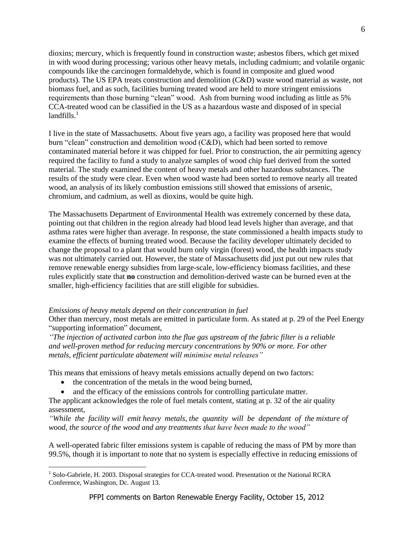dioxins; mercury, which is frequently found in construction waste; asbestos fibers, which get mixed in with wood during processing; various other heavy metals, including cadmium; and volatile organic compounds like the carcinogen formaldehyde, which is found in composite and glued wood products). The US EPA treats construction and demolition (C&D) waste wood material as waste, not biomass fuel, and as such, facilities burning treated wood are held to more stringent emissions requirements than those burning "clean" wood. Ash from burning wood including as little as 5% CCA-treated wood can be classified in the US as a hazardous waste and disposed of in special  $land$ fills. $<sup>1</sup>$ </sup>

I live in the state of Massachusetts. About five years ago, a facility was proposed here that would burn "clean" construction and demolition wood (C&D), which had been sorted to remove contaminated material before it was chipped for fuel. Prior to construction, the air permitting agency required the facility to fund a study to analyze samples of wood chip fuel derived from the sorted material. The study examined the content of heavy metals and other hazardous substances. The results of the study were clear. Even when wood waste had been sorted to remove nearly all treated wood, an analysis of its likely combustion emissions still showed that emissions of arsenic, chromium, and cadmium, as well as dioxins, would be quite high.

The Massachusetts Department of Environmental Health was extremely concerned by these data, pointing out that children in the region already had blood lead levels higher than average, and that asthma rates were higher than average. In response, the state commissioned a health impacts study to examine the effects of burning treated wood. Because the facility developer ultimately decided to change the proposal to a plant that would burn only virgin (forest) wood, the health impacts study was not ultimately carried out. However, the state of Massachusetts did just put out new rules that remove renewable energy subsidies from large-scale, low-efficiency biomass facilities, and these rules explicitly state that **no** construction and demolition-derived waste can be burned even at the smaller, high-efficiency facilities that are still eligible for subsidies.

## <span id="page-5-0"></span>*Emissions of heavy metals depend on their concentration in fuel*

Other than mercury, most metals are emitted in particulate form. As stated at p. 29 of the Peel Energy "supporting information" document,

*"The injection of activated carbon into the flue gas upstream of the fabric filter is a reliable and well-proven method for reducing mercury concentrations by 90% or more. For other metals, efficient particulate abatement will minimise metal releases"*

This means that emissions of heavy metals emissions actually depend on two factors:

• the concentration of the metals in the wood being burned,

 $\overline{a}$ 

• and the efficacy of the emissions controls for controlling particulate matter.

The applicant acknowledges the role of fuel metals content, stating at p. 32 of the air quality assessment,

*"While the facility will emit heavy metals, the quantity will be dependant of the mixture of wood, the source of the wood and any treatments that have been made to the wood"*

A well-operated fabric filter emissions system is capable of reducing the mass of PM by more than 99.5%, though it is important to note that no system is especially effective in reducing emissions of

<sup>&</sup>lt;sup>1</sup> Solo-Gabriele, H. 2003. Disposal strategies for CCA-treated wood. Presentation ot the National RCRA Conference, Washington, Dc. August 13.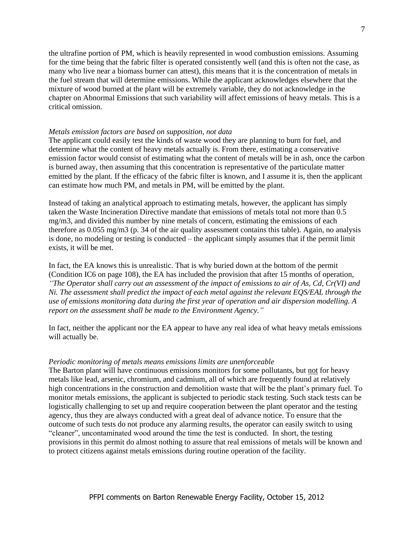the ultrafine portion of PM, which is heavily represented in wood combustion emissions. Assuming for the time being that the fabric filter is operated consistently well (and this is often not the case, as many who live near a biomass burner can attest), this means that it is the concentration of metals in the fuel stream that will determine emissions. While the applicant acknowledges elsewhere that the mixture of wood burned at the plant will be extremely variable, they do not acknowledge in the chapter on Abnormal Emissions that such variability will affect emissions of heavy metals. This is a critical omission.

#### <span id="page-6-0"></span>*Metals emission factors are based on supposition, not data*

The applicant could easily test the kinds of waste wood they are planning to burn for fuel, and determine what the content of heavy metals actually is. From there, estimating a conservative emission factor would consist of estimating what the content of metals will be in ash, once the carbon is burned away, then assuming that this concentration is representative of the particulate matter emitted by the plant. If the efficacy of the fabric filter is known, and I assume it is, then the applicant can estimate how much PM, and metals in PM, will be emitted by the plant.

Instead of taking an analytical approach to estimating metals, however, the applicant has simply taken the Waste Incineration Directive mandate that emissions of metals total not more than 0.5 mg/m3, and divided this number by nine metals of concern, estimating the emissions of each therefore as 0.055 mg/m3 (p. 34 of the air quality assessment contains this table). Again, no analysis is done, no modeling or testing is conducted – the applicant simply assumes that if the permit limit exists, it will be met.

In fact, the EA knows this is unrealistic. That is why buried down at the bottom of the permit (Condition IC6 on page 108), the EA has included the provision that after 15 months of operation, *"The Operator shall carry out an assessment of the impact of emissions to air of As, Cd, Cr(VI) and Ni. The assessment shall predict the impact of each metal against the relevant EQS/EAL through the use of emissions monitoring data during the first year of operation and air dispersion modelling. A report on the assessment shall be made to the Environment Agency."*

In fact, neither the applicant nor the EA appear to have any real idea of what heavy metals emissions will actually be.

#### <span id="page-6-1"></span>*Periodic monitoring of metals means emissions limits are unenforceable*

The Barton plant will have continuous emissions monitors for some pollutants, but not for heavy metals like lead, arsenic, chromium, and cadmium, all of which are frequently found at relatively high concentrations in the construction and demolition waste that will be the plant's primary fuel. To monitor metals emissions, the applicant is subjected to periodic stack testing. Such stack tests can be logistically challenging to set up and require cooperation between the plant operator and the testing agency, thus they are always conducted with a great deal of advance notice. To ensure that the outcome of such tests do not produce any alarming results, the operator can easily switch to using "cleaner", uncontaminated wood around the time the test is conducted. In short, the testing provisions in this permit do almost nothing to assure that real emissions of metals will be known and to protect citizens against metals emissions during routine operation of the facility.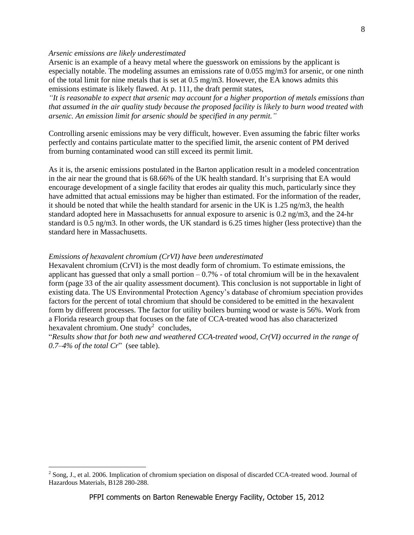## <span id="page-7-0"></span>*Arsenic emissions are likely underestimated*

Arsenic is an example of a heavy metal where the guesswork on emissions by the applicant is especially notable. The modeling assumes an emissions rate of 0.055 mg/m3 for arsenic, or one ninth of the total limit for nine metals that is set at  $0.5 \text{ mg/m3}$ . However, the EA knows admits this emissions estimate is likely flawed. At p. 111, the draft permit states,

*"It is reasonable to expect that arsenic may account for a higher proportion of metals emissions than that assumed in the air quality study because the proposed facility is likely to burn wood treated with arsenic. An emission limit for arsenic should be specified in any permit."*

Controlling arsenic emissions may be very difficult, however. Even assuming the fabric filter works perfectly and contains particulate matter to the specified limit, the arsenic content of PM derived from burning contaminated wood can still exceed its permit limit.

As it is, the arsenic emissions postulated in the Barton application result in a modeled concentration in the air near the ground that is 68.66% of the UK health standard. It's surprising that EA would encourage development of a single facility that erodes air quality this much, particularly since they have admitted that actual emissions may be higher than estimated. For the information of the reader, it should be noted that while the health standard for arsenic in the UK is 1.25 ng/m3, the health standard adopted here in Massachusetts for annual exposure to arsenic is 0.2 ng/m3, and the 24-hr standard is 0.5 ng/m3. In other words, the UK standard is 6.25 times higher (less protective) than the standard here in Massachusetts.

## <span id="page-7-1"></span>*Emissions of hexavalent chromium (CrVI) have been underestimated*

 $\overline{a}$ 

Hexavalent chromium (CrVI) is the most deadly form of chromium. To estimate emissions, the applicant has guessed that only a small portion  $-0.7%$  - of total chromium will be in the hexavalent form (page 33 of the air quality assessment document). This conclusion is not supportable in light of existing data. The US Environmental Protection Agency's database of chromium speciation provides factors for the percent of total chromium that should be considered to be emitted in the hexavalent form by different processes. The factor for utility boilers burning wood or waste is 56%. Work from a Florida research group that focuses on the fate of CCA-treated wood has also characterized hexavalent chromium. One study<sup>2</sup> concludes,

"*Results show that for both new and weathered CCA-treated wood, Cr(VI) occurred in the range of 0.7–4% of the total Cr*" (see table).

 $2^{2}$  Song, J., et al. 2006. Implication of chromium speciation on disposal of discarded CCA-treated wood. Journal of Hazardous Materials, B128 280-288.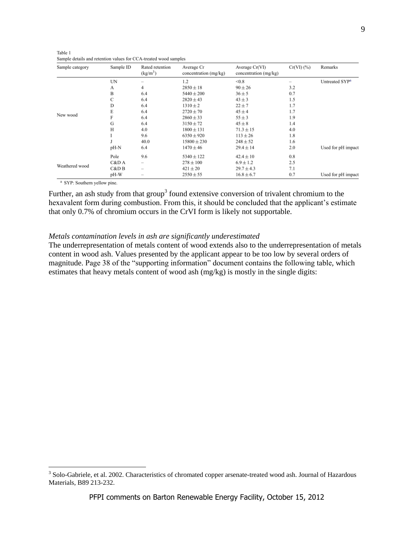| Table 1                                                          |  |
|------------------------------------------------------------------|--|
| Sample details and retention values for CCA-treated wood samples |  |

| Sample category | Sample ID | Rated retention<br>(kg/m <sup>3</sup> ) | Average Cr<br>concentration (mg/kg) | Average Cr(VI)<br>concentration (mg/kg) | $Cr(VI)$ $(\%)$ | Remarks                    |
|-----------------|-----------|-----------------------------------------|-------------------------------------|-----------------------------------------|-----------------|----------------------------|
|                 | UN        |                                         | 1.2                                 | < 0.8                                   |                 | Untreated SYP <sup>a</sup> |
|                 | А         | 4                                       | $2850 \pm 18$                       | $90 \pm 26$                             | 3.2             |                            |
|                 | B         | 6.4                                     | $5440 \pm 200$                      | $36 \pm 5$                              | 0.7             |                            |
|                 | C         | 6.4                                     | $2820 \pm 43$                       | $43 \pm 3$                              | 1.5             |                            |
|                 | D         | 6.4                                     | $1310 \pm 2$                        | $22 + 7$                                | 1.7             |                            |
|                 | E         | 6.4                                     | $2720 \pm 70$                       | $45 + 4$                                | 1.7             |                            |
| New wood        | F         | 6.4                                     | $2860 \pm 33$                       | $55 \pm 3$                              | 1.9             |                            |
|                 | G         | 6.4                                     | $3150 \pm 72$                       | $45 \pm 8$                              | 1.4             |                            |
|                 | H         | 4.0                                     | $1800 \pm 131$                      | $71.3 \pm 15$                           | 4.0             |                            |
|                 |           | 9.6                                     | $6350 \pm 920$                      | $113 \pm 26$                            | 1.8             |                            |
|                 |           | 40.0                                    | $15800 \pm 230$                     | $248 \pm 52$                            | 1.6             |                            |
|                 | pH-N      | 6.4                                     | $1470 \pm 46$                       | $29.4 \pm 14$                           | 2.0             | Used for pH impact         |
|                 | Pole      | 9.6                                     | $5340 \pm 122$                      | $42.4 \pm 10$                           | 0.8             |                            |
|                 | C&D A     |                                         | $278 \pm 100$                       | $6.9 \pm 1.2$                           | 2.5             |                            |
| Weathered wood  | C&D B     | -                                       | $421 \pm 20$                        | $29.7 \pm 4.3$                          | 7.1             |                            |
|                 | pH-W      | $\qquad \qquad \longmapsto$             | $2550 \pm 55$                       | $16.8 \pm 6.7$                          | 0.7             | Used for pH impact         |

<sup>a</sup> SYP: Southern yellow pine.

Further, an ash study from that group<sup>3</sup> found extensive conversion of trivalent chromium to the hexavalent form during combustion. From this, it should be concluded that the applicant's estimate that only 0.7% of chromium occurs in the CrVI form is likely not supportable.

## <span id="page-8-0"></span>*Metals contamination levels in ash are significantly underestimated*

The underrepresentation of metals content of wood extends also to the underrepresentation of metals content in wood ash. Values presented by the applicant appear to be too low by several orders of magnitude. Page 38 of the "supporting information" document contains the following table, which estimates that heavy metals content of wood ash (mg/kg) is mostly in the single digits:

 3 Solo-Gabriele, et al. 2002. Characteristics of chromated copper arsenate-treated wood ash. Journal of Hazardous Materials, B89 213-232.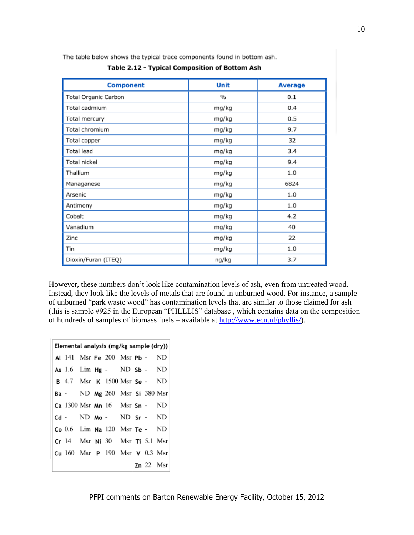The table below shows the typical trace components found in bottom ash.

| Table 2.12 - Typical Composition of Bottom Ash |  |  |
|------------------------------------------------|--|--|
|                                                |  |  |

| <b>Component</b>     | <b>Unit</b> | <b>Average</b> |
|----------------------|-------------|----------------|
| Total Organic Carbon | $\%$        | 0.1            |
| Total cadmium        | mg/kg       | 0.4            |
| Total mercury        | mg/kg       | 0.5            |
| Total chromium       | mg/kg       | 9.7            |
| Total copper         | mg/kg       | 32             |
| Total lead           | mg/kg       | 3.4            |
| Total nickel         | mg/kg       | 9.4            |
| Thallium             | mg/kg       | 1.0            |
| Managanese           | mg/kg       | 6824           |
| Arsenic              | mg/kg       | 1.0            |
| Antimony             | mg/kg       | 1.0            |
| Cobalt               | mg/kg       | 4.2            |
| Vanadium             | mg/kg       | 40             |
| Zinc                 | mg/kg       | 22             |
| Tin                  | mg/kg       | 1.0            |
| Dioxin/Furan (ITEQ)  | ng/kg       | 3.7            |

However, these numbers don't look like contamination levels of ash, even from untreated wood. Instead, they look like the levels of metals that are found in unburned wood. For instance, a sample of unburned "park waste wood" has contamination levels that are similar to those claimed for ash (this is sample #925 in the European "PHLLLIS" database , which contains data on the composition of hundreds of samples of biomass fuels – available at [http://www.ecn.nl/phyllis/\)](http://www.ecn.nl/phyllis/).

| Elemental analysis (mg/kg sample (dry)) |  |  |  |                                                   |  |  |  |             |
|-----------------------------------------|--|--|--|---------------------------------------------------|--|--|--|-------------|
|                                         |  |  |  | Al 141 Msr Fe 200 Msr Pb - ND                     |  |  |  |             |
|                                         |  |  |  | As 1.6 $Lim$ Hg - ND Sb - ND                      |  |  |  |             |
|                                         |  |  |  | <b>B</b> 4.7 Msr <b>K</b> 1500 Msr <b>Se</b> - ND |  |  |  |             |
|                                         |  |  |  | Ba - ND Mg 260 Msr Si 380 Msr                     |  |  |  |             |
|                                         |  |  |  | Ca $1300$ Msr Mn $16$ Msr Sn - ND                 |  |  |  |             |
|                                         |  |  |  | $Cd - N D MO - N D Sr - N D$                      |  |  |  |             |
|                                         |  |  |  | $Co$ 0.6 Lim Na 120 Msr Te - ND                   |  |  |  |             |
|                                         |  |  |  | $Cr$ 14 Msr Ni 30 Msr Ti 5.1 Msr                  |  |  |  |             |
|                                         |  |  |  | Cu $160$ Msr $P$ $190$ Msr $V$ 0.3 Msr            |  |  |  |             |
|                                         |  |  |  |                                                   |  |  |  | $Zn$ 22 Msr |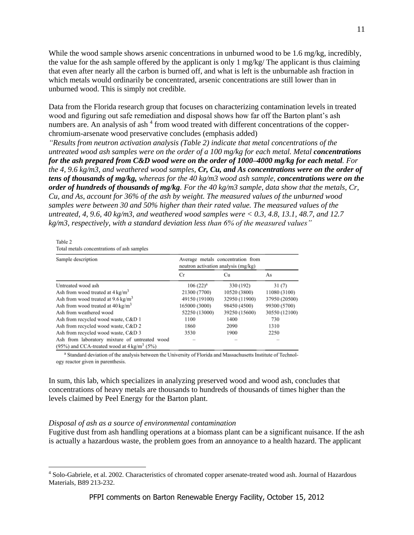While the wood sample shows arsenic concentrations in unburned wood to be 1.6 mg/kg, incredibly, the value for the ash sample offered by the applicant is only 1 mg/kg/ The applicant is thus claiming that even after nearly all the carbon is burned off, and what is left is the unburnable ash fraction in which metals would ordinarily be concentrated, arsenic concentrations are still lower than in unburned wood. This is simply not credible.

Data from the Florida research group that focuses on characterizing contamination levels in treated wood and figuring out safe remediation and disposal shows how far off the Barton plant's ash numbers are. An analysis of ash<sup>4</sup> from wood treated with different concentrations of the copperchromium-arsenate wood preservative concludes (emphasis added)

*"Results from neutron activation analysis (Table 2) indicate that metal concentrations of the untreated wood ash samples were on the order of a 100 mg/kg for each metal. Metal <i>concentrations for the ash prepared from C&D wood were on the order of 1000–4000 mg/kg for each metal. For the 4, 9.6 kg/m3, and weathered wood samples, Cr, Cu, and As concentrations were on the order of tens of thousands of mg/kg, whereas for the 40 kg/m3 wood ash sample, concentrations were on the order of hundreds of thousands of mg/kg. For the 40 kg/m3 sample, data show that the metals, Cr, Cu, and As, account for 36% of the ash by weight. The measured values of the unburned wood samples were between 30 and 50% higher than their rated value. The measured values of the untreated, 4, 9.6, 40 kg/m3, and weathered wood samples were < 0.3, 4.8, 13.1, 48.7, and 12.7 kg/m3, respectively, with a standard deviation less than 6% of the measured values"*

#### Table 2

 $\overline{a}$ 

Total metals concentrations of ash samples

| Sample description                                                                                     | Average metals concentration from<br>neutron activation analysis (mg/kg) |               |               |
|--------------------------------------------------------------------------------------------------------|--------------------------------------------------------------------------|---------------|---------------|
|                                                                                                        | Сr                                                                       | Сu            | As            |
| Untreated wood ash                                                                                     | $106 (22)^a$                                                             | 330 (192)     | 31(7)         |
| Ash from wood treated at $4 \text{ kg/m}^3$                                                            | 21300 (7700)                                                             | 10520 (3800)  | 11080 (3100)  |
| Ash from wood treated at $9.6 \text{ kg/m}^3$                                                          | 49150 (19100)                                                            | 32950 (11900) | 37950 (20500) |
| Ash from wood treated at $40 \text{ kg/m}^3$                                                           | 165000 (3000)                                                            | 98450 (4500)  | 99300 (5700)  |
| Ash from weathered wood                                                                                | 52250 (13000)                                                            | 39250 (15600) | 30550 (12100) |
| Ash from recycled wood waste, C&D 1                                                                    | 1100                                                                     | 1400          | 730           |
| Ash from recycled wood waste, C&D 2                                                                    | 1860                                                                     | 2090          | 1310          |
| Ash from recycled wood waste, C&D 3                                                                    | 3530                                                                     | 1900          | 2250          |
| Ash from laboratory mixture of untreated wood<br>(95%) and CCA-treated wood at $4 \text{ kg/m}^3$ (5%) |                                                                          |               |               |

<sup>a</sup> Standard deviation of the analysis between the University of Florida and Massachusetts Institute of Technology reactor given in parenthesis.

In sum, this lab, which specializes in analyzing preserved wood and wood ash, concludes that concentrations of heavy metals are thousands to hundreds of thousands of times higher than the levels claimed by Peel Energy for the Barton plant.

#### <span id="page-10-0"></span>*Disposal of ash as a source of environmental contamination*

Fugitive dust from ash handling operations at a biomass plant can be a significant nuisance. If the ash is actually a hazardous waste, the problem goes from an annoyance to a health hazard. The applicant

<sup>&</sup>lt;sup>4</sup> Solo-Gabriele, et al. 2002. Characteristics of chromated copper arsenate-treated wood ash. Journal of Hazardous Materials, B89 213-232.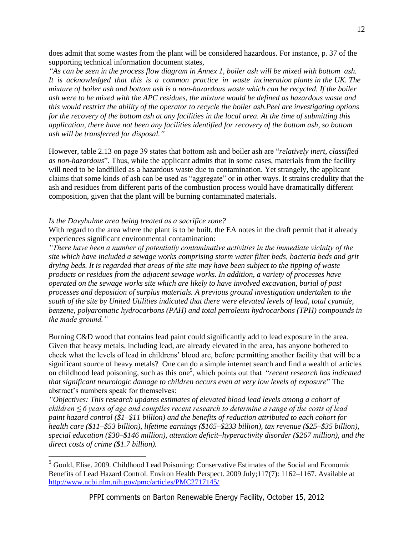does admit that some wastes from the plant will be considered hazardous. For instance, p. 37 of the supporting technical information document states,

*"As can be seen in the process flow diagram in Annex 1, boiler ash will be mixed with bottom ash. It is acknowledged that this is a common practice in waste incineration plants in the UK. The mixture of boiler ash and bottom ash is a non-hazardous waste which can be recycled. If the boiler ash were to be mixed with the APC residues, the mixture would be defined as hazardous waste and this would restrict the ability of the operator to recycle the boiler ash.Peel are investigating options for the recovery of the bottom ash at any facilities in the local area. At the time of submitting this application, there have not been any facilities identified for recovery of the bottom ash, so bottom ash will be transferred for disposal."*

However, table 2.13 on page 39 states that bottom ash and boiler ash are "*relatively inert, classified as non-hazardous*". Thus, while the applicant admits that in some cases, materials from the facility will need to be landfilled as a hazardous waste due to contamination. Yet strangely, the applicant claims that some kinds of ash can be used as "aggregate" or in other ways. It strains credulity that the ash and residues from different parts of the combustion process would have dramatically different composition, given that the plant will be burning contaminated materials.

## <span id="page-11-0"></span>*Is the Davyhulme area being treated as a sacrifice zone?*

 $\overline{a}$ 

With regard to the area where the plant is to be built, the EA notes in the draft permit that it already experiences significant environmental contamination:

*"There have been a number of potentially contaminative activities in the immediate vicinity of the site which have included a sewage works comprising storm water filter beds, bacteria beds and grit drying beds. It is regarded that areas of the site may have been subject to the tipping of waste products or residues from the adjacent sewage works. In addition, a variety of processes have operated on the sewage works site which are likely to have involved excavation, burial of past processes and deposition of surplus materials. A previous ground investigation undertaken to the south of the site by United Utilities indicated that there were elevated levels of lead, total cyanide, benzene, polyaromatic hydrocarbons (PAH) and total petroleum hydrocarbons (TPH) compounds in the made ground."*

Burning C&D wood that contains lead paint could significantly add to lead exposure in the area. Given that heavy metals, including lead, are already elevated in the area, has anyone bothered to check what the levels of lead in childrens' blood are, before permitting another facility that will be a significant source of heavy metals? One can do a simple internet search and find a wealth of articles on childhood lead poisoning, such as this one<sup>5</sup>, which points out that "*recent research has indicated that significant neurologic damage to children occurs even at very low levels of exposure*" The abstract's numbers speak for themselves:

*"Objectives: This research updates estimates of elevated blood lead levels among a cohort of children ≤ 6 years of age and compiles recent research to determine a range of the costs of lead paint hazard control (\$1–\$11 billion) and the benefits of reduction attributed to each cohort for health care (\$11–\$53 billion), lifetime earnings (\$165–\$233 billion), tax revenue (\$25–\$35 billion), special education (\$30–\$146 million), attention deficit–hyperactivity disorder (\$267 million), and the direct costs of crime (\$1.7 billion).* 

<sup>&</sup>lt;sup>5</sup> Gould, Elise. 2009. Childhood Lead Poisoning: Conservative Estimates of the Social and Economic Benefits of Lead Hazard Control. Environ Health Perspect. 2009 July;117(7): 1162–1167. Available at <http://www.ncbi.nlm.nih.gov/pmc/articles/PMC2717145/>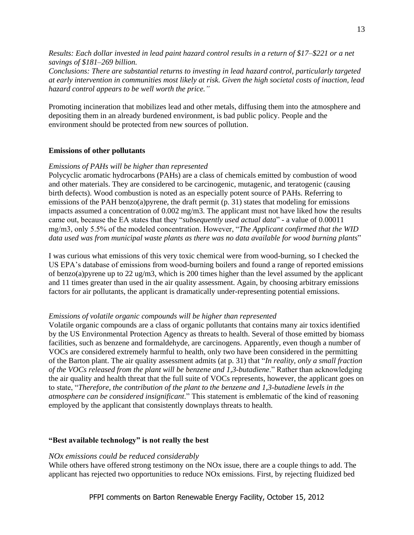*Results: Each dollar invested in lead paint hazard control results in a return of \$17–\$221 or a net savings of \$181–269 billion.*

*Conclusions: There are substantial returns to investing in lead hazard control, particularly targeted at early intervention in communities most likely at risk. Given the high societal costs of inaction, lead hazard control appears to be well worth the price."*

Promoting incineration that mobilizes lead and other metals, diffusing them into the atmosphere and depositing them in an already burdened environment, is bad public policy. People and the environment should be protected from new sources of pollution.

## <span id="page-12-0"></span>**Emissions of other pollutants**

## <span id="page-12-1"></span>*Emissions of PAHs will be higher than represented*

Polycyclic aromatic hydrocarbons (PAHs) are a class of chemicals emitted by combustion of wood and other materials. They are considered to be carcinogenic, mutagenic, and teratogenic (causing birth defects). Wood combustion is noted as an especially potent source of PAHs. Referring to emissions of the PAH benzo(a)pyrene, the draft permit (p. 31) states that modeling for emissions impacts assumed a concentration of 0.002 mg/m3. The applicant must not have liked how the results came out, because the EA states that they "*subsequently used actual data*" - a value of 0.00011 mg/m3, only 5.5% of the modeled concentration. However, "*The Applicant confirmed that the WID data used was from municipal waste plants as there was no data available for wood burning plants*"

I was curious what emissions of this very toxic chemical were from wood-burning, so I checked the US EPA's database of emissions from wood-burning boilers and found a range of reported emissions of benzo(a)pyrene up to 22 ug/m3, which is 200 times higher than the level assumed by the applicant and 11 times greater than used in the air quality assessment. Again, by choosing arbitrary emissions factors for air pollutants, the applicant is dramatically under-representing potential emissions.

## <span id="page-12-2"></span>*Emissions of volatile organic compounds will be higher than represented*

Volatile organic compounds are a class of organic pollutants that contains many air toxics identified by the US Environmental Protection Agency as threats to health. Several of those emitted by biomass facilities, such as benzene and formaldehyde, are carcinogens. Apparently, even though a number of VOCs are considered extremely harmful to health, only two have been considered in the permitting of the Barton plant. The air quality assessment admits (at p. 31) that "*In reality, only a small fraction of the VOCs released from the plant will be benzene and 1,3-butadiene*." Rather than acknowledging the air quality and health threat that the full suite of VOCs represents, however, the applicant goes on to state, "*Therefore, the contribution of the plant to the benzene and 1,3-butadiene levels in the atmosphere can be considered insignificant*." This statement is emblematic of the kind of reasoning employed by the applicant that consistently downplays threats to health.

#### <span id="page-12-3"></span>**"Best available technology" is not really the best**

#### <span id="page-12-4"></span>*NOx emissions could be reduced considerably*

While others have offered strong testimony on the NO<sub>x</sub> issue, there are a couple things to add. The applicant has rejected two opportunities to reduce NOx emissions. First, by rejecting fluidized bed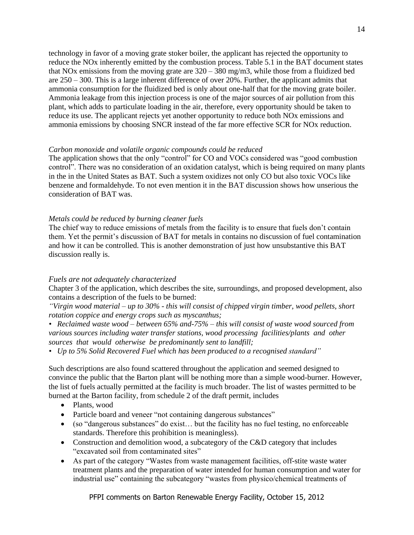technology in favor of a moving grate stoker boiler, the applicant has rejected the opportunity to reduce the NOx inherently emitted by the combustion process. Table 5.1 in the BAT document states that NOx emissions from the moving grate are  $320 - 380$  mg/m3, while those from a fluidized bed are 250 – 300. This is a large inherent difference of over 20%. Further, the applicant admits that ammonia consumption for the fluidized bed is only about one-half that for the moving grate boiler. Ammonia leakage from this injection process is one of the major sources of air pollution from this plant, which adds to particulate loading in the air, therefore, every opportunity should be taken to reduce its use. The applicant rejects yet another opportunity to reduce both NOx emissions and ammonia emissions by choosing SNCR instead of the far more effective SCR for NOx reduction.

#### <span id="page-13-0"></span>*Carbon monoxide and volatile organic compounds could be reduced*

The application shows that the only "control" for CO and VOCs considered was "good combustion control". There was no consideration of an oxidation catalyst, which is being required on many plants in the in the United States as BAT. Such a system oxidizes not only CO but also toxic VOCs like benzene and formaldehyde. To not even mention it in the BAT discussion shows how unserious the consideration of BAT was.

## <span id="page-13-1"></span>*Metals could be reduced by burning cleaner fuels*

The chief way to reduce emissions of metals from the facility is to ensure that fuels don't contain them. Yet the permit's discussion of BAT for metals in contains no discussion of fuel contamination and how it can be controlled. This is another demonstration of just how unsubstantive this BAT discussion really is.

#### <span id="page-13-2"></span>*Fuels are not adequately characterized*

Chapter 3 of the application, which describes the site, surroundings, and proposed development, also contains a description of the fuels to be burned:

*"Virgin wood material – up to 30% - this will consist of chipped virgin timber, wood pellets, short rotation coppice and energy crops such as myscanthus;* 

*• Reclaimed waste wood – between 65% and-75% – this will consist of waste wood sourced from various sources including water transfer stations, wood processing facilities/plants and other sources that would otherwise be predominantly sent to landfill;*

*• Up to 5% Solid Recovered Fuel which has been produced to a recognised standard"*

Such descriptions are also found scattered throughout the application and seemed designed to convince the public that the Barton plant will be nothing more than a simple wood-burner. However, the list of fuels actually permitted at the facility is much broader. The list of wastes permitted to be burned at the Barton facility, from schedule 2 of the draft permit, includes

- Plants, wood
- Particle board and veneer "not containing dangerous substances"
- (so "dangerous substances" do exist… but the facility has no fuel testing, no enforceable standards. Therefore this prohibition is meaningless).
- Construction and demolition wood, a subcategory of the C&D category that includes "excavated soil from contaminated sites"
- As part of the category "Wastes from waste management facilities, off-stite waste water treatment plants and the preparation of water intended for human consumption and water for industrial use" containing the subcategory "wastes from physico/chemical treatments of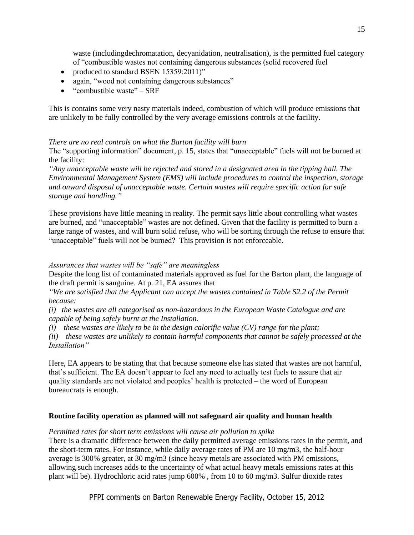waste (includingdechromatation, decyanidation, neutralisation), is the permitted fuel category of "combustible wastes not containing dangerous substances (solid recovered fuel

- produced to standard BSEN 15359:2011)"
- again, "wood not containing dangerous substances"
- "combustible waste" SRF

This is contains some very nasty materials indeed, combustion of which will produce emissions that are unlikely to be fully controlled by the very average emissions controls at the facility.

## <span id="page-14-0"></span>*There are no real controls on what the Barton facility will burn*

The "supporting information" document, p. 15, states that "unacceptable" fuels will not be burned at the facility:

*"Any unacceptable waste will be rejected and stored in a designated area in the tipping hall. The Environmental Management System (EMS) will include procedures to control the inspection, storage and onward disposal of unacceptable waste. Certain wastes will require specific action for safe storage and handling."*

These provisions have little meaning in reality. The permit says little about controlling what wastes are burned, and "unacceptable" wastes are not defined. Given that the facility is permitted to burn a large range of wastes, and will burn solid refuse, who will be sorting through the refuse to ensure that "unacceptable" fuels will not be burned? This provision is not enforceable.

## <span id="page-14-1"></span>*Assurances that wastes will be "safe" are meaningless*

Despite the long list of contaminated materials approved as fuel for the Barton plant, the language of the draft permit is sanguine. At p. 21, EA assures that

*"We are satisfied that the Applicant can accept the wastes contained in Table S2.2 of the Permit because:*

*(i) the wastes are all categorised as non-hazardous in the European Waste Catalogue and are capable of being safely burnt at the Installation.* 

*(i) these wastes are likely to be in the design calorific value (CV) range for the plant;* 

*(ii) these wastes are unlikely to contain harmful components that cannot be safely processed at the Installation"*

Here, EA appears to be stating that that because someone else has stated that wastes are not harmful, that's sufficient. The EA doesn't appear to feel any need to actually test fuels to assure that air quality standards are not violated and peoples' health is protected – the word of European bureaucrats is enough.

## <span id="page-14-2"></span>**Routine facility operation as planned will not safeguard air quality and human health**

## <span id="page-14-3"></span>*Permitted rates for short term emissions will cause air pollution to spike*

There is a dramatic difference between the daily permitted average emissions rates in the permit, and the short-term rates. For instance, while daily average rates of PM are 10 mg/m3, the half-hour average is 300% greater, at 30 mg/m3 (since heavy metals are associated with PM emissions, allowing such increases adds to the uncertainty of what actual heavy metals emissions rates at this plant will be). Hydrochloric acid rates jump 600% , from 10 to 60 mg/m3. Sulfur dioxide rates

PFPI comments on Barton Renewable Energy Facility, October 15, 2012